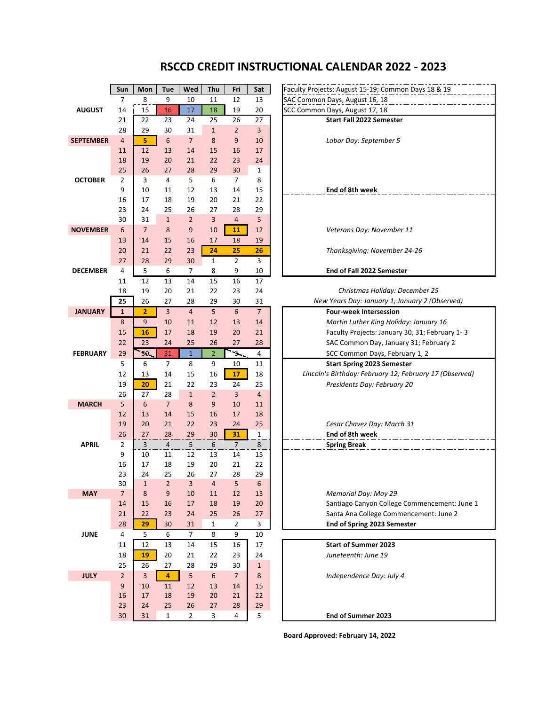## **RSCCD CREDIT INSTRUCTIONAL CALENDAR 2022 - 2023**

|                  | Sun            | Mon            | Tue             | Wed            | Thu            | Fri            | Sat            | Faculty Projects: August 15-19; Common Days 18 & 19     |
|------------------|----------------|----------------|-----------------|----------------|----------------|----------------|----------------|---------------------------------------------------------|
|                  | $\overline{7}$ | 8              | 9               | 10             | 11             | 12             | 13             | SAC Common Days, August 16, 18                          |
| <b>AUGUST</b>    | 14             | 15             | 16              | 17             | 18             | 19             | 20             | SCC Common Days, August 17, 18                          |
|                  | 21             | 22             | 23              | 24             | 25             | 26             | 27             | <b>Start Fall 2022 Semester</b>                         |
|                  | 28             | 29             | 30              | 31             | $\mathbf{1}$   | $\overline{2}$ | $\overline{3}$ |                                                         |
| <b>SEPTEMBER</b> | $\overline{4}$ | 5              | $6\phantom{1}6$ | $\overline{7}$ | 8              | 9              | 10             | Labor Day: September 5                                  |
|                  | 11             | 12             | 13              | 14             | 15             | 16             | 17             |                                                         |
|                  | 18             | 19             | 20              | 21             | 22             | 23             | 24             |                                                         |
|                  | 25             | 26             | 27              | 28             | 29             | 30             | $\mathbf 1$    |                                                         |
| <b>OCTOBER</b>   | 2              | 3              | 4               | 5              | 6              | 7              | 8              |                                                         |
|                  | 9              | 10             | 11              | 12             | 13             | 14             | 15             | End of 8th week                                         |
|                  | 16             | 17             | 18              | 19             | 20             | 21             | 22             |                                                         |
|                  | 23             | 24             | 25              | 26             | 27             | 28             | 29             |                                                         |
|                  | 30             | 31             | $\mathbf{1}$    | $\overline{2}$ | 3              | $\overline{4}$ | 5              |                                                         |
| <b>NOVEMBER</b>  | 6              | $\overline{7}$ | 8               | 9              | 10             | 11             | 12             | Veterans Day: November 11                               |
|                  | 13             | 14             | 15              | 16             | 17             | 18             | 19             |                                                         |
|                  | 20             | 21             | 22              | 23             | 24             | 25             | 26             | Thanksgiving: November 24-26                            |
|                  | 27             | 28             | 29              | 30             | $\mathbf{1}$   | $\overline{2}$ | 3              |                                                         |
| <b>DECEMBER</b>  | 4<br>11        | 5<br>12        | 6               | 7<br>14        | 8              | 9              | 10             | End of Fall 2022 Semester                               |
|                  | 18             | 19             | 13<br>20        | 21             | 15<br>22       | 16<br>23       | 17<br>24       | Christmas Holiday: December 25                          |
|                  | 25             | 26             | 27              | 28             | 29             | 30             | 31             | New Years Day: January 1; January 2 (Observed)          |
| <b>JANUARY</b>   | $\mathbf{1}$   | $\overline{2}$ | $\overline{3}$  | $\overline{4}$ | 5              | 6              | $\overline{7}$ | <b>Four-week Intersession</b>                           |
|                  | 8              | 9              | 10              | 11             | 12             | 13             | 14             | Martin Luther King Holiday: January 16                  |
|                  | 15             | 16             | 17              | 18             | 19             | 20             | 21             | Faculty Projects: January 30, 31; February 1-3          |
|                  | 22             | 23             | 24              | 25             | 26             | 27             | 28             | SAC Common Day, January 31; February 2                  |
| <b>FEBRUARY</b>  | 29             | 30             | 31              | $\mathbf{1}$   | $\overline{2}$ | $\rightarrow$  | 4              | SCC Common Days, February 1, 2                          |
|                  | 5              | 6              | $\overline{7}$  | 8              | 9              | 10             | 11             | <b>Start Spring 2023 Semester</b>                       |
|                  | 12             | 13             | 14              | 15             | 16             | 17             | 18             | Lincoln's Birthday: February 12; February 17 (Observed) |
|                  | 19             | 20             | 21              | 22             | 23             | 24             | 25             | Presidents Day: February 20                             |
|                  | 26             | 27             | 28              | $\mathbf{1}$   | $\overline{2}$ | $\overline{3}$ | $\overline{4}$ |                                                         |
| <b>MARCH</b>     | 5              | 6              | $\overline{7}$  | 8              | 9              | 10             | 11             |                                                         |
|                  | 12             | 13             | 14              | 15             | 16             | 17             | 18             |                                                         |
|                  | 19             | 20             | 21              | 22             | 23             | 24             | 25             | Cesar Chavez Day: March 31                              |
|                  | 26             | 27             | 28              | 29             | 30             | 31             | 1              | End of 8th week                                         |
| <b>APRIL</b>     | $\overline{2}$ | $\overline{3}$ | $\overline{4}$  | 5              | 6              | $\overline{7}$ | 8              | <b>Spring Break</b>                                     |
|                  | 9              | 10             | 11              | 12             | 13             | 14             | 15             |                                                         |
|                  | 16             | 17             | 18              | 19             | 20             | 21             | 22             |                                                         |
|                  | 23             | 24             | 25              | 26             | 27             | 28             | 29             |                                                         |
|                  | 30             | $1\,$          | $\overline{2}$  | 3              | 4              | 5              | 6              |                                                         |
| <b>MAY</b>       | $\overline{7}$ | 8              | 9               | 10             | 11             | 12             | 13             | Memorial Day: May 29                                    |
|                  | 14             | 15             | 16              | 17             | 18             | 19             | 20             | Santiago Canyon College Commencement: June 1            |
|                  | 21             | 22             | 23              | 24             | 25             | 26             | 27             | Santa Ana College Commencement: June 2                  |
|                  | 28             | 29             | 30              | 31             | $\mathbf{1}$   | $\overline{2}$ | 3              | End of Spring 2023 Semester                             |
| <b>JUNE</b>      | $\overline{4}$ | 5              | 6               | $\overline{7}$ | 8              | 9              | 10             |                                                         |
|                  | 11             | 12             | 13              | 14             | 15             | 16             | 17             | <b>Start of Summer 2023</b>                             |
|                  | 18             | 19             | 20              | 21             | 22             | 23             | 24             | Juneteenth: June 19                                     |
|                  | 25             | 26             | 27              | 28             | 29             | 30             | $\mathbf{1}$   |                                                         |
| <b>JULY</b>      | $2^{\circ}$    | $\overline{3}$ | 4               | 5 <sup>1</sup> | 6              | 7 <sup>1</sup> | 8              | Independence Day: July 4                                |
|                  | 9              | 10             | 11              | 12             | 13             | 14             | 15             |                                                         |
|                  | 16             | 17             | 18              | 19             | 20             | 21             | 22             |                                                         |
|                  | 23             | 24             | 25              | 26             | 27             | 28             | 29             |                                                         |
|                  | 30             | 31             | $\mathbf{1}$    | $\overline{2}$ | 3              | 4              | 5              | End of Summer 2023                                      |

**Board Approved: February 14, 2022**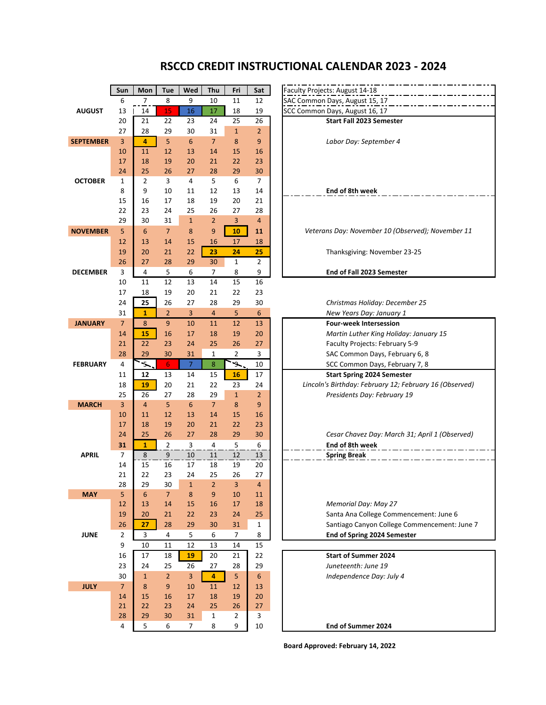## **RSCCD CREDIT INSTRUCTIONAL CALENDAR 2023 - 2024**

|                  | Sun            | Mon                    | <b>Tue</b>           | Wed             | Thu            | Fri            | Sat              | Faculty Projects: August 14-18                   |
|------------------|----------------|------------------------|----------------------|-----------------|----------------|----------------|------------------|--------------------------------------------------|
|                  | 6              | 7                      | 8                    | 9               | 10             | 11             | 12               | SAC Common Days, August 15, 17                   |
| <b>AUGUST</b>    | 13             | 14                     | 15                   | 16              | 17             | 18             | 19               | SCC Common Days, August 16, 17                   |
|                  | 20             | 21                     | 22                   | 23              | 24             | 25             | 26               | <b>Start Fall 2023 Semester</b>                  |
|                  | 27             | 28                     | 29                   | 30              | 31             | $\mathbf{1}$   | $\overline{2}$   |                                                  |
| <b>SEPTEMBER</b> | 3              | 4                      | 5                    | $6\phantom{1}6$ | $\overline{7}$ | 8              | 9                | Labor Day: September 4                           |
|                  | 10             | 11                     | 12                   | 13              | 14             | 15             | 16               |                                                  |
|                  | 17             | 18                     | 19                   | 20              | 21             | 22             | 23               |                                                  |
|                  | 24             | 25                     | 26                   | 27              | 28             | 29             | 30               |                                                  |
| <b>OCTOBER</b>   | 1              | $\overline{2}$         | 3                    | 4               | 5              | 6              | 7                |                                                  |
|                  | 8              | 9                      | 10                   | 11              | 12             | 13             | 14               | End of 8th week                                  |
|                  | 15             | 16                     | 17                   | 18              | 19             | 20             | 21               |                                                  |
|                  | 22             | 23                     | 24                   | 25              | 26             | 27             | 28               |                                                  |
|                  | 29             | 30                     | 31                   | $\mathbf 1$     | $\overline{2}$ | 3              | 4                |                                                  |
| <b>NOVEMBER</b>  | 5              | 6                      | $\overline{7}$       | 8               | 9              | 10             | 11               | Veterans Day: November 10 (Observe               |
|                  | 12             | 13                     | 14                   | 15              | 16             | 17             | 18               |                                                  |
|                  | 19             | 20                     | 21                   | 22              | 23             | 24             | 25               | Thanksgiving: November 23-25                     |
|                  | 26             | 27                     | 28                   | 29              | 30             | 1              | 2                |                                                  |
| <b>DECEMBER</b>  | 3              | 4                      | 5                    | 6               | 7              | 8              | 9                | End of Fall 2023 Semester                        |
|                  | 10             | 11                     | 12                   | 13              | 14             | 15             | 16               |                                                  |
|                  | 17             | 18                     | 19                   | 20              | 21             | 22             | 23               |                                                  |
|                  | 24             | 25                     | 26                   | 27              | 28             | 29             | 30               | Christmas Holiday: December 2                    |
|                  | 31             | $\mathbf{1}$           | $\overline{2}$       | 3               | $\overline{4}$ | 5              | $\boldsymbol{6}$ | New Years Day: January 1                         |
| <b>JANUARY</b>   | $\overline{7}$ | 8                      | 9                    | 10              | 11             | 12             | 13               | <b>Four-week Intersession</b>                    |
|                  | 14             | 15                     | 16                   | 17              | 18             | 19             | 20               | Martin Luther King Holiday: Jai                  |
|                  | 21             | 22                     | 23                   | 24              | 25             | 26             | 27               | Faculty Projects: February 5-9                   |
|                  | 28             | 29                     | 30                   | 31              | 1              | $\overline{2}$ | 3                | SAC Common Days, February 6                      |
| <b>FEBRUARY</b>  | 4              | ۰5.                    | $6 \nightharpoonup$  | $\overline{7}$  | $\bf 8$        | $\mathcal{L}$  | 10               | SCC Common Days, February 7                      |
|                  | 11             | 12                     | 13                   | 14              | 15             | 16             | 17               | <b>Start Spring 2024 Semester</b>                |
|                  | 18             | 19                     | 20                   | 21              | 22             | 23             | 24               | Lincoln's Birthday: February 12; Februd          |
|                  | 25             | 26                     | 27                   | 28              | 29             | $\mathbf 1$    | $\overline{2}$   |                                                  |
| <b>MARCH</b>     | 3              | $\overline{4}$         | 5                    | 6               | $\overline{7}$ | 8              | 9                | Presidents Day: February 19                      |
|                  | 10             | 11                     | 12                   | 13              | 14             | 15             | 16               |                                                  |
|                  | 17             | 18                     | 19                   | 20              | 21             | 22             | 23               |                                                  |
|                  | 24             | 25                     | 26                   |                 | 28             |                |                  |                                                  |
|                  |                |                        |                      | 27              |                | 29             | 30               | Cesar Chavez Day: March 31; A<br>End of 8th week |
|                  | 31             | $\mathbf{1}$           | 2<br>9               | 3               | 4              | 5              | 6                |                                                  |
| <b>APRIL</b>     | 7              | 8                      |                      | 10              | 11             | 12             | 13               | <b>Spring Break</b>                              |
|                  | 14<br>21       | 15<br>22               | 16<br>23             | 17              | 18<br>25       | 19             | 20<br>27         |                                                  |
|                  |                |                        |                      | 24              |                | 26             |                  |                                                  |
| <b>MAY</b>       | 28<br>5        | 29<br>$\boldsymbol{6}$ | 30<br>$\overline{7}$ | 1<br>$\bf 8$    | 2<br>9         | 3<br>10        | 4<br>11          |                                                  |
|                  | 12             | 13                     | 14                   | 15              | $16\,$         | 17             | 18               | Memorial Day: May 27                             |
|                  | 19             | 20                     | 21                   | 22              | 23             | 24             | 25               | Santa Ana College Commencer                      |
|                  |                |                        |                      |                 |                |                |                  |                                                  |
|                  | 26             | 27                     | 28                   | 29              | 30             | 31             | $\mathbf{1}$     | Santiago Canyon College Comn                     |
| <b>JUNE</b>      | 2              | 3                      | 4                    | 5               | 6              | 7              | 8                | End of Spring 2024 Semester                      |
|                  | 9              | 10                     | 11                   | 12              | 13             | 14             | 15               |                                                  |
|                  | 16             | 17                     | 18                   | 19              | 20             | 21             | 22               | <b>Start of Summer 2024</b>                      |
|                  | 23             | 24                     | 25                   | 26              | 27             | 28             | 29               | Juneteenth: June 19                              |
|                  | 30             | $\mathbf{1}$           | $\overline{2}$       | 3               | 4              | 5              | 6                | Independence Day: July 4                         |
| <b>JULY</b>      | 7 <sup>1</sup> | 8                      | 9                    | 10              | 11             | 12             | 13               |                                                  |
|                  | 14             | 15                     | 16                   | 17              | 18             | 19             | 20               |                                                  |
|                  | 21             | 22                     | 23                   | 24              | 25             | 26             | 27               |                                                  |
|                  | 28             | 29                     | 30                   | 31              | $\mathbf 1$    | 2              | 3                |                                                  |
|                  | 4              | 5                      | 6                    | $\overline{7}$  | 8              | 9              | 10               | End of Summer 2024                               |

| culty Projects: August 14-18                      |
|---------------------------------------------------|
| C Common Days, August 15, 17                      |
| C Common Days, August 16, 17                      |
| <b>Start Fall 2023 Semester</b>                   |
|                                                   |
| Labor Day: September 4                            |
|                                                   |
|                                                   |
|                                                   |
|                                                   |
| End of 8th week                                   |
|                                                   |
|                                                   |
|                                                   |
| Veterans Day: November 10 (Observed); November 11 |
| Thanksgiving: November 23-25                      |
|                                                   |
| End of Fall 2023 Semester                         |
|                                                   |
|                                                   |

24 **25** 26 27 28 29 30 *Christmas Holiday: December 25*

31 **1** 2 3 4 5 6 *New Years Day: January 1* **Four-week Intersession** 14 **15** 16 17 18 19 20 *Martin Luther King Holiday: January 15* Faculty Projects: February 5-9 SAC Common Days, February 6, 8 **SCC Common Days, February 7, 8 Start Spring 2024 Semester** 

25 26 27 28 29 1 2 *Presidents Day: February 19 Lincoln's Birthday: February 12; February 16 (Observed)*

|    | - 19 | 70 |    |    |    |                                                |
|----|------|----|----|----|----|------------------------------------------------|
| 24 | 26   | 27 | 28 | 29 | 30 | Cesar Chavez Day: March 31; April 1 (Observed) |
| 31 |      |    |    |    |    | End of 8th week                                |
|    |      |    |    |    |    | <b>Spring Break</b>                            |
| 14 | 16   |    |    | 19 | 20 |                                                |

12 13 14 15 16 17 18 *Memorial Day: May 27* Santa Ana College Commencement: June 6 Santiago Canyon College Commencement: June 7 **End of Spring 2024 Semester** 

**Board Approved: February 14, 2022**